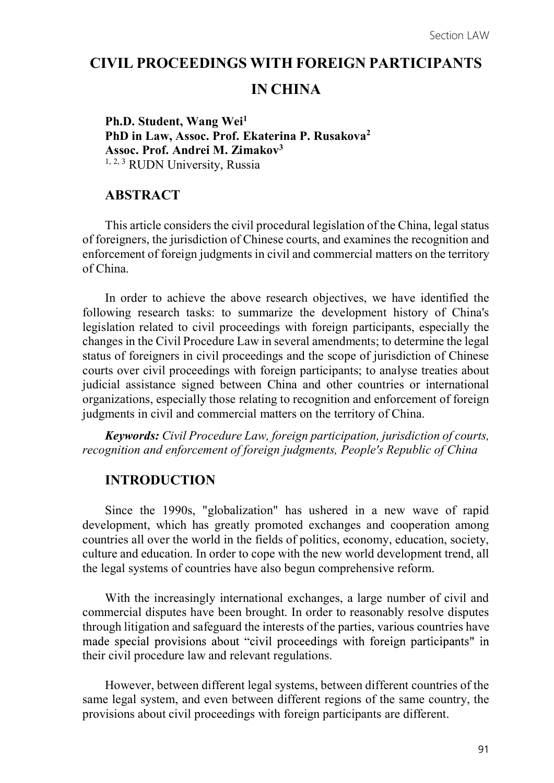## CIVIL PROCEEDINGS WITH FOREIGN PARTICIPANTS

# IN CHINA

Ph.D. Student, Wang Wei<sup>1</sup> PhD in Law, Assoc. Prof. Ekaterina P. Rusakova<sup>2</sup> Assoc. Prof. Andrei M. Zimakov3 1, 2, 3 RUDN University, Russia

### ABSTRACT

This article considers the civil procedural legislation of the China, legal status of foreigners, the jurisdiction of Chinese courts, and examines the recognition and enforcement of foreign judgments in civil and commercial matters on the territory of China.

In order to achieve the above research objectives, we have identified the following research tasks: to summarize the development history of China's legislation related to civil proceedings with foreign participants, especially the changes in the Civil Procedure Law in several amendments; to determine the legal status of foreigners in civil proceedings and the scope of jurisdiction of Chinese courts over civil proceedings with foreign participants; to analyse treaties about judicial assistance signed between China and other countries or international organizations, especially those relating to recognition and enforcement of foreign judgments in civil and commercial matters on the territory of China.

Keywords: Civil Procedure Law, foreign participation, jurisdiction of courts, recognition and enforcement of foreign judgments, People's Republic of China

### INTRODUCTION

Since the 1990s, "globalization" has ushered in a new wave of rapid development, which has greatly promoted exchanges and cooperation among countries all over the world in the fields of politics, economy, education, society, culture and education. In order to cope with the new world development trend, all the legal systems of countries have also begun comprehensive reform.

With the increasingly international exchanges, a large number of civil and commercial disputes have been brought. In order to reasonably resolve disputes through litigation and safeguard the interests of the parties, various countries have made special provisions about "civil proceedings with foreign participants" in their civil procedure law and relevant regulations.

However, between different legal systems, between different countries of the same legal system, and even between different regions of the same country, the provisions about civil proceedings with foreign participants are different.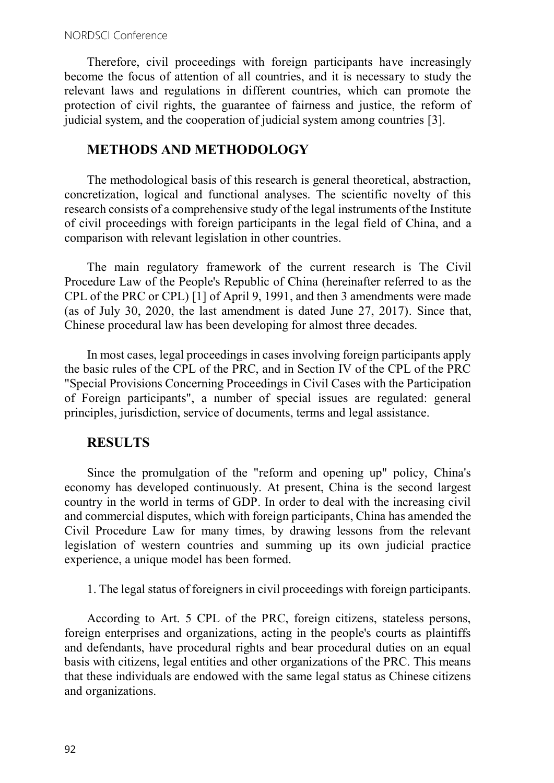Therefore, civil proceedings with foreign participants have increasingly become the focus of attention of all countries, and it is necessary to study the relevant laws and regulations in different countries, which can promote the protection of civil rights, the guarantee of fairness and justice, the reform of judicial system, and the cooperation of judicial system among countries [3].

### METHODS AND METHODOLOGY

The methodological basis of this research is general theoretical, abstraction, concretization, logical and functional analyses. The scientific novelty of this research consists of a comprehensive study of the legal instruments of the Institute of civil proceedings with foreign participants in the legal field of China, and a comparison with relevant legislation in other countries.

The main regulatory framework of the current research is The Civil Procedure Law of the People's Republic of China (hereinafter referred to as the CPL of the PRC or CPL) [1] of April 9, 1991, and then 3 amendments were made (as of July 30, 2020, the last amendment is dated June 27, 2017). Since that, Chinese procedural law has been developing for almost three decades.

In most cases, legal proceedings in cases involving foreign participants apply the basic rules of the CPL of the PRC, and in Section IV of the CPL of the PRC "Special Provisions Concerning Proceedings in Civil Cases with the Participation of Foreign participants", a number of special issues are regulated: general principles, jurisdiction, service of documents, terms and legal assistance.

### RESULTS

Since the promulgation of the "reform and opening up" policy, China's economy has developed continuously. At present, China is the second largest country in the world in terms of GDP. In order to deal with the increasing civil and commercial disputes, which with foreign participants, China has amended the Civil Procedure Law for many times, by drawing lessons from the relevant legislation of western countries and summing up its own judicial practice experience, a unique model has been formed.

1. The legal status of foreigners in civil proceedings with foreign participants.

According to Art. 5 CPL of the PRC, foreign citizens, stateless persons, foreign enterprises and organizations, acting in the people's courts as plaintiffs and defendants, have procedural rights and bear procedural duties on an equal basis with citizens, legal entities and other organizations of the PRC. This means that these individuals are endowed with the same legal status as Chinese citizens and organizations.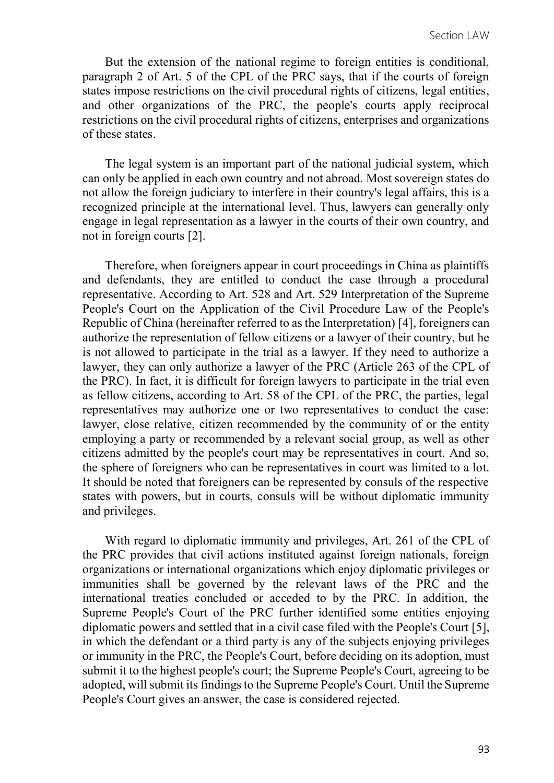But the extension of the national regime to foreign entities is conditional, paragraph 2 of Art. 5 of the CPL of the PRC says, that if the courts of foreign states impose restrictions on the civil procedural rights of citizens, legal entities, and other organizations of the PRC, the people's courts apply reciprocal restrictions on the civil procedural rights of citizens, enterprises and organizations of these states.

The legal system is an important part of the national judicial system, which can only be applied in each own country and not abroad. Most sovereign states do not allow the foreign judiciary to interfere in their country's legal affairs, this is a recognized principle at the international level. Thus, lawyers can generally only engage in legal representation as a lawyer in the courts of their own country, and not in foreign courts [2].

Therefore, when foreigners appear in court proceedings in China as plaintiffs and defendants, they are entitled to conduct the case through a procedural representative. According to Art. 528 and Art. 529 Interpretation of the Supreme People's Court on the Application of the Civil Procedure Law of the People's Republic of China (hereinafter referred to as the Interpretation) [4], foreigners can authorize the representation of fellow citizens or a lawyer of their country, but he is not allowed to participate in the trial as a lawyer. If they need to authorize a lawyer, they can only authorize a lawyer of the PRC (Article 263 of the CPL of the PRC). In fact, it is difficult for foreign lawyers to participate in the trial even as fellow citizens, according to Art. 58 of the CPL of the PRC, the parties, legal representatives may authorize one or two representatives to conduct the case: lawyer, close relative, citizen recommended by the community of or the entity employing a party or recommended by a relevant social group, as well as other citizens admitted by the people's court may be representatives in court. And so, the sphere of foreigners who can be representatives in court was limited to a lot. It should be noted that foreigners can be represented by consuls of the respective states with powers, but in courts, consuls will be without diplomatic immunity and privileges.

With regard to diplomatic immunity and privileges, Art. 261 of the CPL of the PRC provides that civil actions instituted against foreign nationals, foreign organizations or international organizations which enjoy diplomatic privileges or immunities shall be governed by the relevant laws of the PRC and the international treaties concluded or acceded to by the PRC. In addition, the Supreme People's Court of the PRC further identified some entities enjoying diplomatic powers and settled that in a civil case filed with the People's Court [5], in which the defendant or a third party is any of the subjects enjoying privileges or immunity in the PRC, the People's Court, before deciding on its adoption, must submit it to the highest people's court; the Supreme People's Court, agreeing to be adopted, will submit its findings to the Supreme People's Court. Until the Supreme People's Court gives an answer, the case is considered rejected.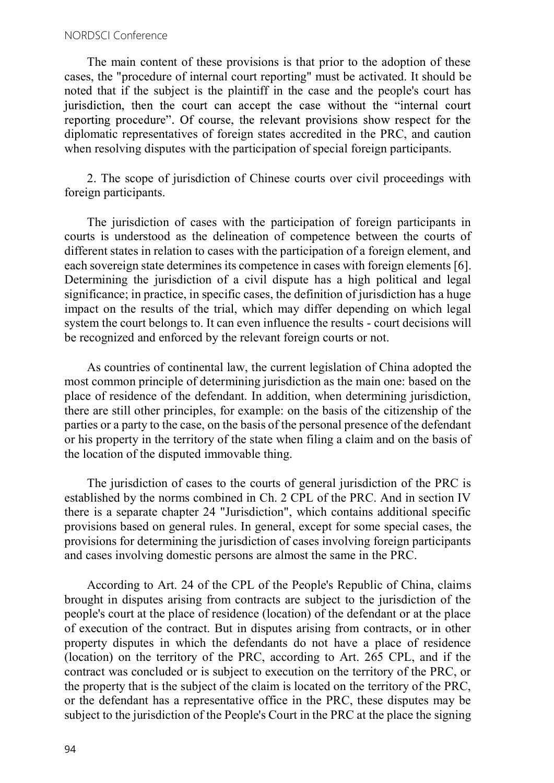#### NORDSCI Conference

The main content of these provisions is that prior to the adoption of these cases, the "procedure of internal court reporting" must be activated. It should be noted that if the subject is the plaintiff in the case and the people's court has jurisdiction, then the court can accept the case without the "internal court" reporting procedure". Of course, the relevant provisions show respect for the diplomatic representatives of foreign states accredited in the PRC, and caution when resolving disputes with the participation of special foreign participants.

2. The scope of jurisdiction of Chinese courts over civil proceedings with foreign participants.

The jurisdiction of cases with the participation of foreign participants in courts is understood as the delineation of competence between the courts of different states in relation to cases with the participation of a foreign element, and each sovereign state determines its competence in cases with foreign elements [6]. Determining the jurisdiction of a civil dispute has a high political and legal significance; in practice, in specific cases, the definition of jurisdiction has a huge impact on the results of the trial, which may differ depending on which legal system the court belongs to. It can even influence the results - court decisions will be recognized and enforced by the relevant foreign courts or not.

As countries of continental law, the current legislation of China adopted the most common principle of determining jurisdiction as the main one: based on the place of residence of the defendant. In addition, when determining jurisdiction, there are still other principles, for example: on the basis of the citizenship of the parties or a party to the case, on the basis of the personal presence of the defendant or his property in the territory of the state when filing a claim and on the basis of the location of the disputed immovable thing.

The jurisdiction of cases to the courts of general jurisdiction of the PRC is established by the norms combined in Ch. 2 CPL of the PRC. And in section IV there is a separate chapter 24 "Jurisdiction", which contains additional specific provisions based on general rules. In general, except for some special cases, the provisions for determining the jurisdiction of cases involving foreign participants and cases involving domestic persons are almost the same in the PRC.

According to Art. 24 of the CPL of the People's Republic of China, claims brought in disputes arising from contracts are subject to the jurisdiction of the people's court at the place of residence (location) of the defendant or at the place of execution of the contract. But in disputes arising from contracts, or in other property disputes in which the defendants do not have a place of residence (location) on the territory of the PRC, according to Art. 265 CPL, and if the contract was concluded or is subject to execution on the territory of the PRC, or the property that is the subject of the claim is located on the territory of the PRC, or the defendant has a representative office in the PRC, these disputes may be subject to the jurisdiction of the People's Court in the PRC at the place the signing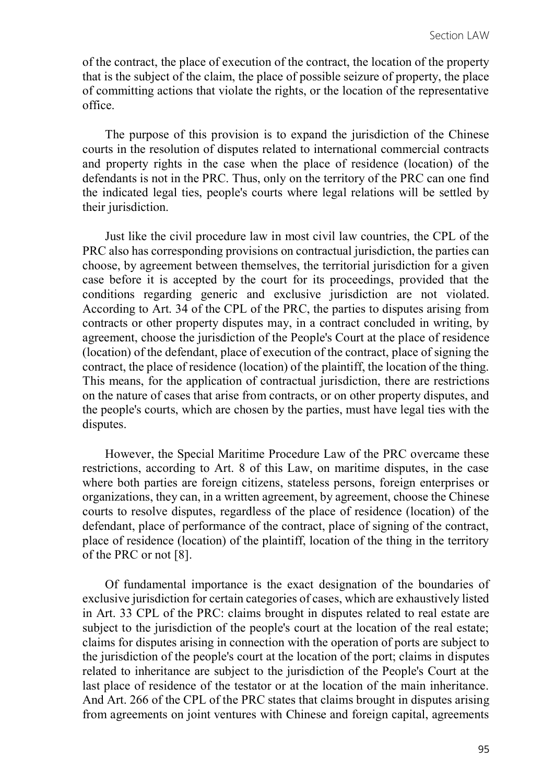of the contract, the place of execution of the contract, the location of the property that is the subject of the claim, the place of possible seizure of property, the place of committing actions that violate the rights, or the location of the representative office.

The purpose of this provision is to expand the jurisdiction of the Chinese courts in the resolution of disputes related to international commercial contracts and property rights in the case when the place of residence (location) of the defendants is not in the PRC. Thus, only on the territory of the PRC can one find the indicated legal ties, people's courts where legal relations will be settled by their jurisdiction.

Just like the civil procedure law in most civil law countries, the CPL of the PRC also has corresponding provisions on contractual jurisdiction, the parties can choose, by agreement between themselves, the territorial jurisdiction for a given case before it is accepted by the court for its proceedings, provided that the conditions regarding generic and exclusive jurisdiction are not violated. According to Art. 34 of the CPL of the PRC, the parties to disputes arising from contracts or other property disputes may, in a contract concluded in writing, by agreement, choose the jurisdiction of the People's Court at the place of residence (location) of the defendant, place of execution of the contract, place of signing the contract, the place of residence (location) of the plaintiff, the location of the thing. This means, for the application of contractual jurisdiction, there are restrictions on the nature of cases that arise from contracts, or on other property disputes, and the people's courts, which are chosen by the parties, must have legal ties with the disputes.

However, the Special Maritime Procedure Law of the PRC overcame these restrictions, according to Art. 8 of this Law, on maritime disputes, in the case where both parties are foreign citizens, stateless persons, foreign enterprises or organizations, they can, in a written agreement, by agreement, choose the Chinese courts to resolve disputes, regardless of the place of residence (location) of the defendant, place of performance of the contract, place of signing of the contract, place of residence (location) of the plaintiff, location of the thing in the territory of the PRC or not [8].

Of fundamental importance is the exact designation of the boundaries of exclusive jurisdiction for certain categories of cases, which are exhaustively listed in Art. 33 CPL of the PRC: claims brought in disputes related to real estate are subject to the jurisdiction of the people's court at the location of the real estate; claims for disputes arising in connection with the operation of ports are subject to the jurisdiction of the people's court at the location of the port; claims in disputes related to inheritance are subject to the jurisdiction of the People's Court at the last place of residence of the testator or at the location of the main inheritance. And Art. 266 of the CPL of the PRC states that claims brought in disputes arising from agreements on joint ventures with Chinese and foreign capital, agreements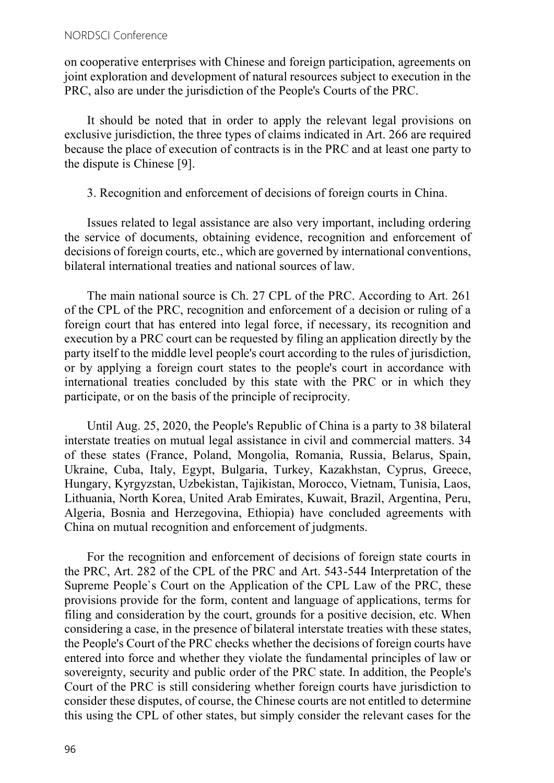on cooperative enterprises with Chinese and foreign participation, agreements on joint exploration and development of natural resources subject to execution in the PRC, also are under the jurisdiction of the People's Courts of the PRC.

It should be noted that in order to apply the relevant legal provisions on exclusive jurisdiction, the three types of claims indicated in Art. 266 are required because the place of execution of contracts is in the PRC and at least one party to the dispute is Chinese [9].

3. Recognition and enforcement of decisions of foreign courts in China.

Issues related to legal assistance are also very important, including ordering the service of documents, obtaining evidence, recognition and enforcement of decisions of foreign courts, etc., which are governed by international conventions, bilateral international treaties and national sources of law.

The main national source is Ch. 27 CPL of the PRC. According to Art. 261 of the CPL of the PRC, recognition and enforcement of a decision or ruling of a foreign court that has entered into legal force, if necessary, its recognition and execution by a PRC court can be requested by filing an application directly by the party itself to the middle level people's court according to the rules of jurisdiction, or by applying a foreign court states to the people's court in accordance with international treaties concluded by this state with the PRC or in which they participate, or on the basis of the principle of reciprocity.

Until Aug. 25, 2020, the People's Republic of China is a party to 38 bilateral interstate treaties on mutual legal assistance in civil and commercial matters. 34 of these states (France, Poland, Mongolia, Romania, Russia, Belarus, Spain, Ukraine, Cuba, Italy, Egypt, Bulgaria, Turkey, Kazakhstan, Cyprus, Greece, Hungary, Kyrgyzstan, Uzbekistan, Tajikistan, Morocco, Vietnam, Tunisia, Laos, Lithuania, North Korea, United Arab Emirates, Kuwait, Brazil, Argentina, Peru, Algeria, Bosnia and Herzegovina, Ethiopia) have concluded agreements with China on mutual recognition and enforcement of judgments.

For the recognition and enforcement of decisions of foreign state courts in the PRC, Art. 282 of the CPL of the PRC and Art. 543-544 Interpretation of the Supreme People`s Court on the Application of the CPL Law of the PRC, these provisions provide for the form, content and language of applications, terms for filing and consideration by the court, grounds for a positive decision, etc. When considering a case, in the presence of bilateral interstate treaties with these states, the People's Court of the PRC checks whether the decisions of foreign courts have entered into force and whether they violate the fundamental principles of law or sovereignty, security and public order of the PRC state. In addition, the People's Court of the PRC is still considering whether foreign courts have jurisdiction to consider these disputes, of course, the Chinese courts are not entitled to determine this using the CPL of other states, but simply consider the relevant cases for the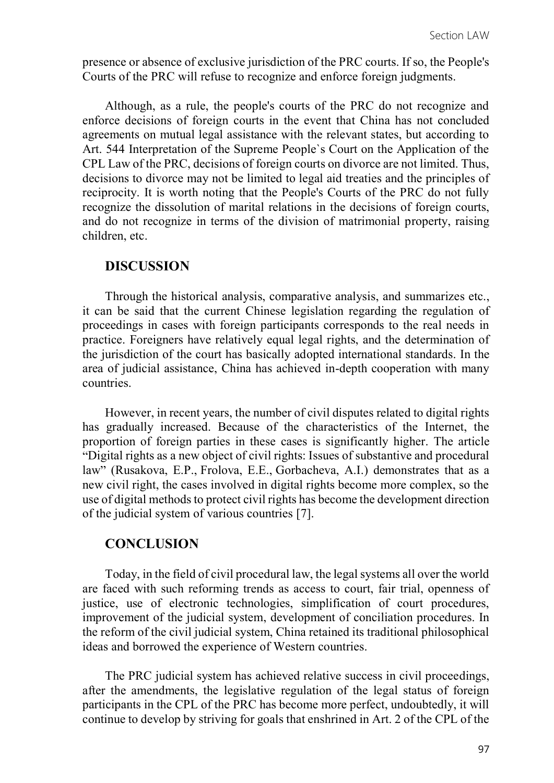presence or absence of exclusive jurisdiction of the PRC courts. If so, the People's Courts of the PRC will refuse to recognize and enforce foreign judgments.

Although, as a rule, the people's courts of the PRC do not recognize and enforce decisions of foreign courts in the event that China has not concluded agreements on mutual legal assistance with the relevant states, but according to Art. 544 Interpretation of the Supreme People`s Court on the Application of the CPL Law of the PRC, decisions of foreign courts on divorce are not limited. Thus, decisions to divorce may not be limited to legal aid treaties and the principles of reciprocity. It is worth noting that the People's Courts of the PRC do not fully recognize the dissolution of marital relations in the decisions of foreign courts, and do not recognize in terms of the division of matrimonial property, raising children, etc.

### DISCUSSION

Through the historical analysis, comparative analysis, and summarizes etc., it can be said that the current Chinese legislation regarding the regulation of proceedings in cases with foreign participants corresponds to the real needs in practice. Foreigners have relatively equal legal rights, and the determination of the jurisdiction of the court has basically adopted international standards. In the area of judicial assistance, China has achieved in-depth cooperation with many countries.

However, in recent years, the number of civil disputes related to digital rights has gradually increased. Because of the characteristics of the Internet, the proportion of foreign parties in these cases is significantly higher. The article Digital rights as a new object of civil rights: Issues of substantive and procedural law" (Rusakova, E.P., Frolova, E.E., Gorbacheva, A.I.) demonstrates that as a new civil right, the cases involved in digital rights become more complex, so the use of digital methods to protect civil rights has become the development direction of the judicial system of various countries [7].

### **CONCLUSION**

Today, in the field of civil procedural law, the legal systems all over the world are faced with such reforming trends as access to court, fair trial, openness of justice, use of electronic technologies, simplification of court procedures, improvement of the judicial system, development of conciliation procedures. In the reform of the civil judicial system, China retained its traditional philosophical ideas and borrowed the experience of Western countries.

The PRC judicial system has achieved relative success in civil proceedings, after the amendments, the legislative regulation of the legal status of foreign participants in the CPL of the PRC has become more perfect, undoubtedly, it will continue to develop by striving for goals that enshrined in Art. 2 of the CPL of the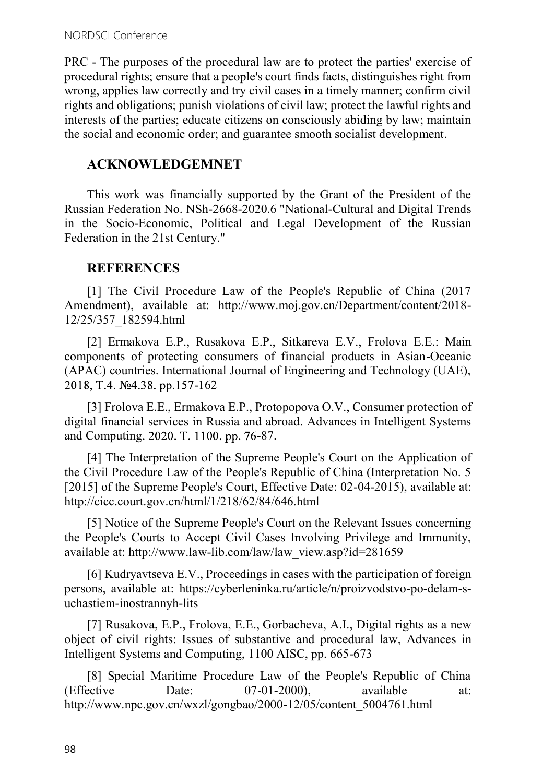PRC - The purposes of the procedural law are to protect the parties' exercise of procedural rights; ensure that a people's court finds facts, distinguishes right from wrong, applies law correctly and try civil cases in a timely manner; confirm civil rights and obligations; punish violations of civil law; protect the lawful rights and interests of the parties; educate citizens on consciously abiding by law; maintain the social and economic order; and guarantee smooth socialist development.

# ACKNOWLEDGEMNET

This work was financially supported by the Grant of the President of the Russian Federation No. NSh-2668-2020.6 "National-Cultural and Digital Trends in the Socio-Economic, Political and Legal Development of the Russian Federation in the 21st Century."

# **REFERENCES**

[1] The Civil Procedure Law of the People's Republic of China (2017 Amendment), available at: http://www.moj.gov.cn/Department/content/2018- 12/25/357\_182594.html

[2] Ermakova E.P., Rusakova E.P., Sitkareva E.V., Frolova E.E.: Main components of protecting consumers of financial products in Asian-Oceanic (APAC) countries. International Journal of Engineering and Technology (UAE), 2018, T.4. No<sub>o</sub>4.38. pp.157-162

[3] Frolova E.E., Ermakova E.P., Protopopova O.V., Consumer protection of digital financial services in Russia and abroad. Advances in Intelligent Systems and Computing. 2020. T. 1100. pp. 76-87.

[4] The Interpretation of the Supreme People's Court on the Application of the Civil Procedure Law of the People's Republic of China (Interpretation No. 5 [2015] of the Supreme People's Court, Effective Date: 02-04-2015), available at: http://cicc.court.gov.cn/html/1/218/62/84/646.html

[5] Notice of the Supreme People's Court on the Relevant Issues concerning the People's Courts to Accept Civil Cases Involving Privilege and Immunity, available at: http://www.law-lib.com/law/law\_view.asp?id=281659

[6] Kudryavtseva E.V., Proceedings in cases with the participation of foreign persons, available at: https://cyberleninka.ru/article/n/proizvodstvo-po-delam-suchastiem-inostrannyh-lits

[7] Rusakova, E.P., Frolova, E.E., Gorbacheva, A.I., Digital rights as a new object of civil rights: Issues of substantive and procedural law, Advances in Intelligent Systems and Computing, 1100 AISC, pp. 665-673

[8] Special Maritime Procedure Law of the People's Republic of China (Effective Date: 07-01-2000), available at: http://www.npc.gov.cn/wxzl/gongbao/2000-12/05/content\_5004761.html